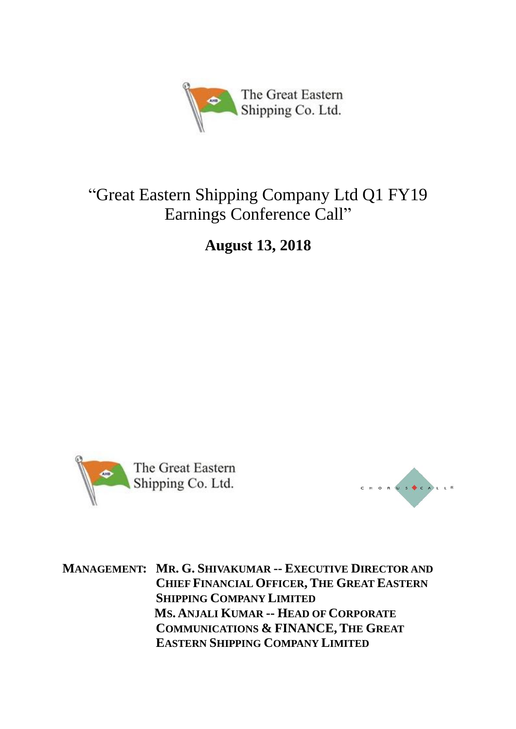

# "Great Eastern Shipping Company Ltd Q1 FY19 Earnings Conference Call"

**August 13, 2018**





**MANAGEMENT: MR. G. SHIVAKUMAR -- EXECUTIVE DIRECTOR AND CHIEF FINANCIAL OFFICER, THE GREAT EASTERN SHIPPING COMPANY LIMITED MS. ANJALI KUMAR -- HEAD OF CORPORATE COMMUNICATIONS & FINANCE, THE GREAT EASTERN SHIPPING COMPANY LIMITED**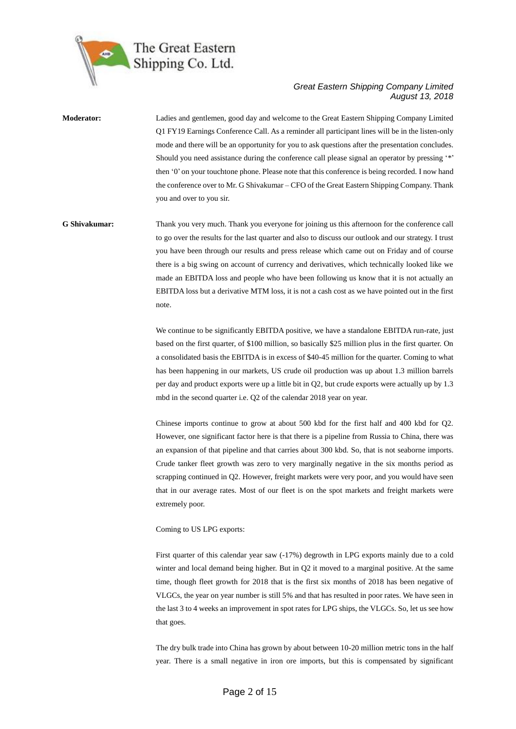

## **Moderator:** Ladies and gentlemen, good day and welcome to the Great Eastern Shipping Company Limited Q1 FY19 Earnings Conference Call. As a reminder all participant lines will be in the listen-only mode and there will be an opportunity for you to ask questions after the presentation concludes. Should you need assistance during the conference call please signal an operator by pressing '\*' then '0' on your touchtone phone. Please note that this conference is being recorded. I now hand the conference over to Mr. G Shivakumar – CFO of the Great Eastern Shipping Company. Thank you and over to you sir.

**G Shivakumar:** Thank you very much. Thank you everyone for joining us this afternoon for the conference call to go over the results for the last quarter and also to discuss our outlook and our strategy. I trust you have been through our results and press release which came out on Friday and of course there is a big swing on account of currency and derivatives, which technically looked like we made an EBITDA loss and people who have been following us know that it is not actually an EBITDA loss but a derivative MTM loss, it is not a cash cost as we have pointed out in the first note.

> We continue to be significantly EBITDA positive, we have a standalone EBITDA run-rate, just based on the first quarter, of \$100 million, so basically \$25 million plus in the first quarter. On a consolidated basis the EBITDA is in excess of \$40-45 million for the quarter. Coming to what has been happening in our markets, US crude oil production was up about 1.3 million barrels per day and product exports were up a little bit in Q2, but crude exports were actually up by 1.3 mbd in the second quarter i.e. Q2 of the calendar 2018 year on year.

> Chinese imports continue to grow at about 500 kbd for the first half and 400 kbd for Q2. However, one significant factor here is that there is a pipeline from Russia to China, there was an expansion of that pipeline and that carries about 300 kbd. So, that is not seaborne imports. Crude tanker fleet growth was zero to very marginally negative in the six months period as scrapping continued in Q2. However, freight markets were very poor, and you would have seen that in our average rates. Most of our fleet is on the spot markets and freight markets were extremely poor.

#### Coming to US LPG exports:

First quarter of this calendar year saw (-17%) degrowth in LPG exports mainly due to a cold winter and local demand being higher. But in Q2 it moved to a marginal positive. At the same time, though fleet growth for 2018 that is the first six months of 2018 has been negative of VLGCs, the year on year number is still 5% and that has resulted in poor rates. We have seen in the last 3 to 4 weeks an improvement in spot rates for LPG ships, the VLGCs. So, let us see how that goes.

The dry bulk trade into China has grown by about between 10-20 million metric tons in the half year. There is a small negative in iron ore imports, but this is compensated by significant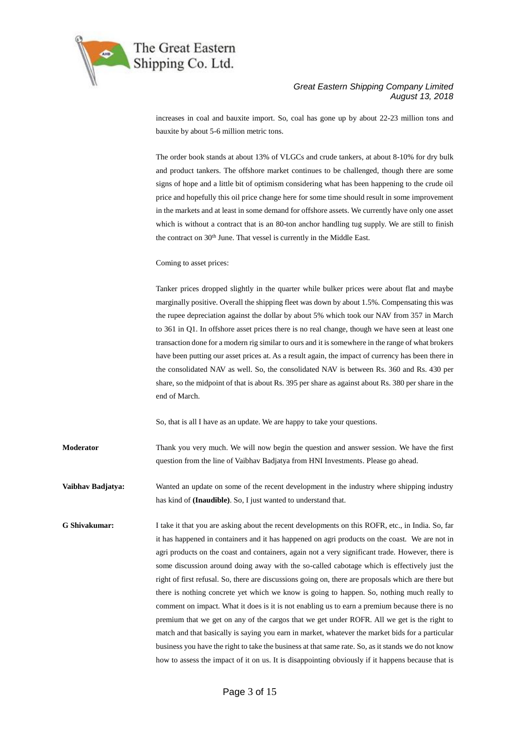

increases in coal and bauxite import. So, coal has gone up by about 22-23 million tons and bauxite by about 5-6 million metric tons.

The order book stands at about 13% of VLGCs and crude tankers, at about 8-10% for dry bulk and product tankers. The offshore market continues to be challenged, though there are some signs of hope and a little bit of optimism considering what has been happening to the crude oil price and hopefully this oil price change here for some time should result in some improvement in the markets and at least in some demand for offshore assets. We currently have only one asset which is without a contract that is an 80-ton anchor handling tug supply. We are still to finish the contract on 30<sup>th</sup> June. That vessel is currently in the Middle East.

Coming to asset prices:

Tanker prices dropped slightly in the quarter while bulker prices were about flat and maybe marginally positive. Overall the shipping fleet was down by about 1.5%. Compensating this was the rupee depreciation against the dollar by about 5% which took our NAV from 357 in March to 361 in Q1. In offshore asset prices there is no real change, though we have seen at least one transaction done for a modern rig similar to ours and it is somewhere in the range of what brokers have been putting our asset prices at. As a result again, the impact of currency has been there in the consolidated NAV as well. So, the consolidated NAV is between Rs. 360 and Rs. 430 per share, so the midpoint of that is about Rs. 395 per share as against about Rs. 380 per share in the end of March.

So, that is all I have as an update. We are happy to take your questions.

**Moderator** Thank you very much. We will now begin the question and answer session. We have the first question from the line of Vaibhav Badjatya from HNI Investments. Please go ahead.

**Vaibhav Badjatya:** Wanted an update on some of the recent development in the industry where shipping industry has kind of **(Inaudible)**. So, I just wanted to understand that.

**G Shivakumar:** I take it that you are asking about the recent developments on this ROFR, etc., in India. So, far it has happened in containers and it has happened on agri products on the coast. We are not in agri products on the coast and containers, again not a very significant trade. However, there is some discussion around doing away with the so-called cabotage which is effectively just the right of first refusal. So, there are discussions going on, there are proposals which are there but there is nothing concrete yet which we know is going to happen. So, nothing much really to comment on impact. What it does is it is not enabling us to earn a premium because there is no premium that we get on any of the cargos that we get under ROFR. All we get is the right to match and that basically is saying you earn in market, whatever the market bids for a particular business you have the right to take the business at that same rate. So, as it stands we do not know how to assess the impact of it on us. It is disappointing obviously if it happens because that is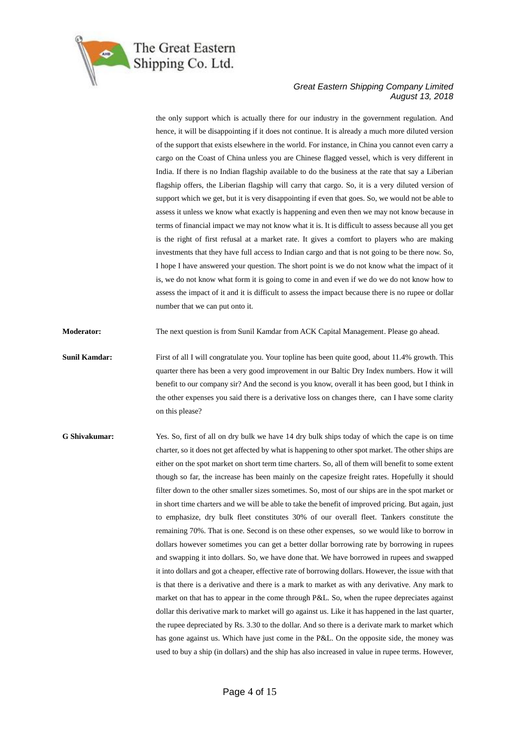

the only support which is actually there for our industry in the government regulation. And hence, it will be disappointing if it does not continue. It is already a much more diluted version of the support that exists elsewhere in the world. For instance, in China you cannot even carry a cargo on the Coast of China unless you are Chinese flagged vessel, which is very different in India. If there is no Indian flagship available to do the business at the rate that say a Liberian flagship offers, the Liberian flagship will carry that cargo. So, it is a very diluted version of support which we get, but it is very disappointing if even that goes. So, we would not be able to assess it unless we know what exactly is happening and even then we may not know because in terms of financial impact we may not know what it is. It is difficult to assess because all you get is the right of first refusal at a market rate. It gives a comfort to players who are making investments that they have full access to Indian cargo and that is not going to be there now. So, I hope I have answered your question. The short point is we do not know what the impact of it is, we do not know what form it is going to come in and even if we do we do not know how to assess the impact of it and it is difficult to assess the impact because there is no rupee or dollar number that we can put onto it.

**Moderator:** The next question is from Sunil Kamdar from ACK Capital Management. Please go ahead.

**Sunil Kamdar:** First of all I will congratulate you. Your topline has been quite good, about 11.4% growth. This quarter there has been a very good improvement in our Baltic Dry Index numbers. How it will benefit to our company sir? And the second is you know, overall it has been good, but I think in the other expenses you said there is a derivative loss on changes there, can I have some clarity on this please?

**G Shivakumar:** Yes. So, first of all on dry bulk we have 14 dry bulk ships today of which the cape is on time charter, so it does not get affected by what is happening to other spot market. The other ships are either on the spot market on short term time charters. So, all of them will benefit to some extent though so far, the increase has been mainly on the capesize freight rates. Hopefully it should filter down to the other smaller sizes sometimes. So, most of our ships are in the spot market or in short time charters and we will be able to take the benefit of improved pricing. But again, just to emphasize, dry bulk fleet constitutes 30% of our overall fleet. Tankers constitute the remaining 70%. That is one. Second is on these other expenses, so we would like to borrow in dollars however sometimes you can get a better dollar borrowing rate by borrowing in rupees and swapping it into dollars. So, we have done that. We have borrowed in rupees and swapped it into dollars and got a cheaper, effective rate of borrowing dollars. However, the issue with that is that there is a derivative and there is a mark to market as with any derivative. Any mark to market on that has to appear in the come through P&L. So, when the rupee depreciates against dollar this derivative mark to market will go against us. Like it has happened in the last quarter, the rupee depreciated by Rs. 3.30 to the dollar. And so there is a derivate mark to market which has gone against us. Which have just come in the P&L. On the opposite side, the money was used to buy a ship (in dollars) and the ship has also increased in value in rupee terms. However,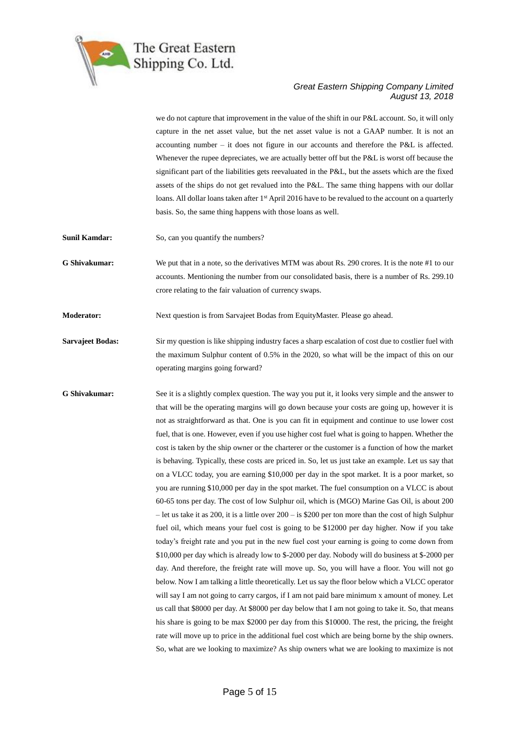

we do not capture that improvement in the value of the shift in our P&L account. So, it will only capture in the net asset value, but the net asset value is not a GAAP number. It is not an accounting number – it does not figure in our accounts and therefore the P&L is affected. Whenever the rupee depreciates, we are actually better off but the P&L is worst off because the significant part of the liabilities gets reevaluated in the P&L, but the assets which are the fixed assets of the ships do not get revalued into the P&L. The same thing happens with our dollar loans. All dollar loans taken after 1<sup>st</sup> April 2016 have to be revalued to the account on a quarterly basis. So, the same thing happens with those loans as well.

**Sunil Kamdar:** So, can you quantify the numbers?

**G Shivakumar:** We put that in a note, so the derivatives MTM was about Rs. 290 crores. It is the note #1 to our accounts. Mentioning the number from our consolidated basis, there is a number of Rs. 299.10 crore relating to the fair valuation of currency swaps.

**Moderator:** Next question is from Sarvajeet Bodas from EquityMaster. Please go ahead.

**Sarvajeet Bodas:** Sir my question is like shipping industry faces a sharp escalation of cost due to costlier fuel with the maximum Sulphur content of 0.5% in the 2020, so what will be the impact of this on our operating margins going forward?

**G Shivakumar:** See it is a slightly complex question. The way you put it, it looks very simple and the answer to that will be the operating margins will go down because your costs are going up, however it is not as straightforward as that. One is you can fit in equipment and continue to use lower cost fuel, that is one. However, even if you use higher cost fuel what is going to happen. Whether the cost is taken by the ship owner or the charterer or the customer is a function of how the market is behaving. Typically, these costs are priced in. So, let us just take an example. Let us say that on a VLCC today, you are earning \$10,000 per day in the spot market. It is a poor market, so you are running \$10,000 per day in the spot market. The fuel consumption on a VLCC is about 60-65 tons per day. The cost of low Sulphur oil, which is (MGO) Marine Gas Oil, is about 200 – let us take it as 200, it is a little over 200 – is \$200 per ton more than the cost of high Sulphur fuel oil, which means your fuel cost is going to be \$12000 per day higher. Now if you take today's freight rate and you put in the new fuel cost your earning is going to come down from \$10,000 per day which is already low to \$-2000 per day. Nobody will do business at \$-2000 per day. And therefore, the freight rate will move up. So, you will have a floor. You will not go below. Now I am talking a little theoretically. Let us say the floor below which a VLCC operator will say I am not going to carry cargos, if I am not paid bare minimum x amount of money. Let us call that \$8000 per day. At \$8000 per day below that I am not going to take it. So, that means his share is going to be max \$2000 per day from this \$10000. The rest, the pricing, the freight rate will move up to price in the additional fuel cost which are being borne by the ship owners. So, what are we looking to maximize? As ship owners what we are looking to maximize is not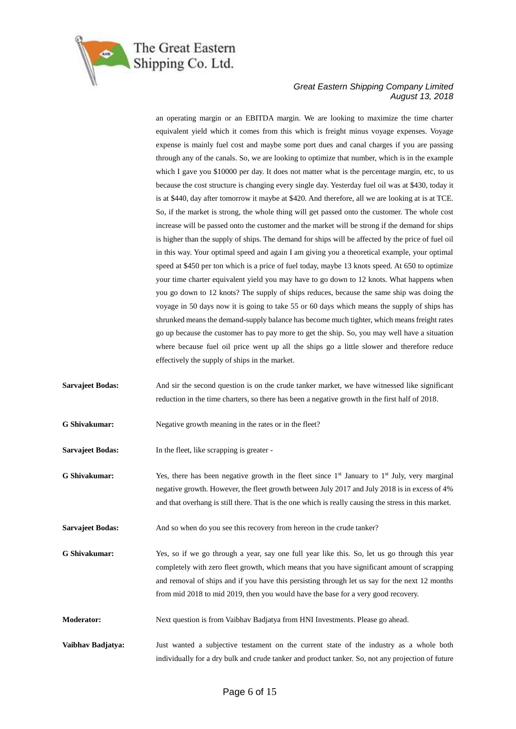

an operating margin or an EBITDA margin. We are looking to maximize the time charter equivalent yield which it comes from this which is freight minus voyage expenses. Voyage expense is mainly fuel cost and maybe some port dues and canal charges if you are passing through any of the canals. So, we are looking to optimize that number, which is in the example which I gave you \$10000 per day. It does not matter what is the percentage margin, etc, to us because the cost structure is changing every single day. Yesterday fuel oil was at \$430, today it is at \$440, day after tomorrow it maybe at \$420. And therefore, all we are looking at is at TCE. So, if the market is strong, the whole thing will get passed onto the customer. The whole cost increase will be passed onto the customer and the market will be strong if the demand for ships is higher than the supply of ships. The demand for ships will be affected by the price of fuel oil in this way. Your optimal speed and again I am giving you a theoretical example, your optimal speed at \$450 per ton which is a price of fuel today, maybe 13 knots speed. At 650 to optimize your time charter equivalent yield you may have to go down to 12 knots. What happens when you go down to 12 knots? The supply of ships reduces, because the same ship was doing the voyage in 50 days now it is going to take 55 or 60 days which means the supply of ships has shrunked means the demand-supply balance has become much tighter, which means freight rates go up because the customer has to pay more to get the ship. So, you may well have a situation where because fuel oil price went up all the ships go a little slower and therefore reduce effectively the supply of ships in the market.

**Sarvajeet Bodas:** And sir the second question is on the crude tanker market, we have witnessed like significant reduction in the time charters, so there has been a negative growth in the first half of 2018.

**G Shivakumar:** Negative growth meaning in the rates or in the fleet?

**Sarvajeet Bodas:** In the fleet, like scrapping is greater -

**G Shivakumar:** Yes, there has been negative growth in the fleet since 1<sup>st</sup> January to 1<sup>st</sup> July, very marginal negative growth. However, the fleet growth between July 2017 and July 2018 is in excess of 4% and that overhang is still there. That is the one which is really causing the stress in this market.

**Sarvajeet Bodas:** And so when do you see this recovery from hereon in the crude tanker?

G Shivakumar: Yes, so if we go through a year, say one full year like this. So, let us go through this year completely with zero fleet growth, which means that you have significant amount of scrapping and removal of ships and if you have this persisting through let us say for the next 12 months from mid 2018 to mid 2019, then you would have the base for a very good recovery.

**Moderator:** Next question is from Vaibhav Badjatya from HNI Investments. Please go ahead.

**Vaibhav Badjatya:** Just wanted a subjective testament on the current state of the industry as a whole both individually for a dry bulk and crude tanker and product tanker. So, not any projection of future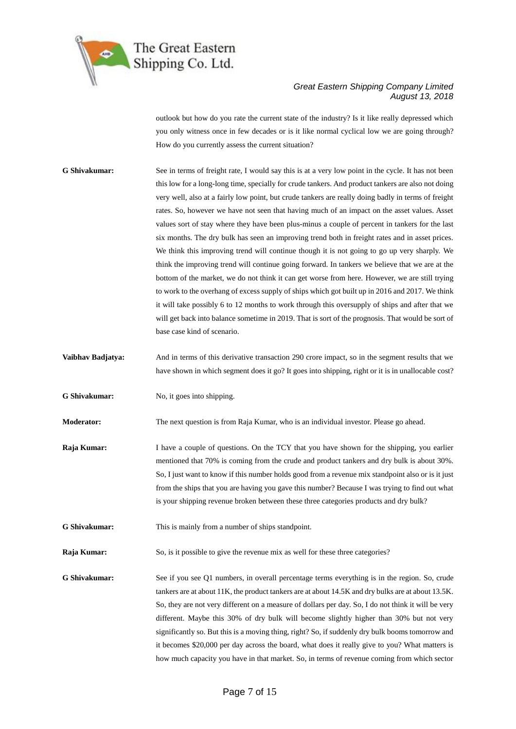

outlook but how do you rate the current state of the industry? Is it like really depressed which you only witness once in few decades or is it like normal cyclical low we are going through? How do you currently assess the current situation?

- **G Shivakumar:** See in terms of freight rate, I would say this is at a very low point in the cycle. It has not been this low for a long-long time, specially for crude tankers. And product tankers are also not doing very well, also at a fairly low point, but crude tankers are really doing badly in terms of freight rates. So, however we have not seen that having much of an impact on the asset values. Asset values sort of stay where they have been plus-minus a couple of percent in tankers for the last six months. The dry bulk has seen an improving trend both in freight rates and in asset prices. We think this improving trend will continue though it is not going to go up very sharply. We think the improving trend will continue going forward. In tankers we believe that we are at the bottom of the market, we do not think it can get worse from here. However, we are still trying to work to the overhang of excess supply of ships which got built up in 2016 and 2017. We think it will take possibly 6 to 12 months to work through this oversupply of ships and after that we will get back into balance sometime in 2019. That is sort of the prognosis. That would be sort of base case kind of scenario.
- **Vaibhav Badjatya:** And in terms of this derivative transaction 290 crore impact, so in the segment results that we have shown in which segment does it go? It goes into shipping, right or it is in unallocable cost?
- **G Shivakumar:** No, it goes into shipping.

**Moderator:** The next question is from Raja Kumar, who is an individual investor. Please go ahead.

- **Raja Kumar:** I have a couple of questions. On the TCY that you have shown for the shipping, you earlier mentioned that 70% is coming from the crude and product tankers and dry bulk is about 30%. So, I just want to know if this number holds good from a revenue mix standpoint also or is it just from the ships that you are having you gave this number? Because I was trying to find out what is your shipping revenue broken between these three categories products and dry bulk?
- **G Shivakumar:** This is mainly from a number of ships standpoint.
- **Raja Kumar:** So, is it possible to give the revenue mix as well for these three categories?

**G Shivakumar:** See if you see Q1 numbers, in overall percentage terms everything is in the region. So, crude tankers are at about 11K, the product tankers are at about 14.5K and dry bulks are at about 13.5K. So, they are not very different on a measure of dollars per day. So, I do not think it will be very different. Maybe this 30% of dry bulk will become slightly higher than 30% but not very significantly so. But this is a moving thing, right? So, if suddenly dry bulk booms tomorrow and it becomes \$20,000 per day across the board, what does it really give to you? What matters is how much capacity you have in that market. So, in terms of revenue coming from which sector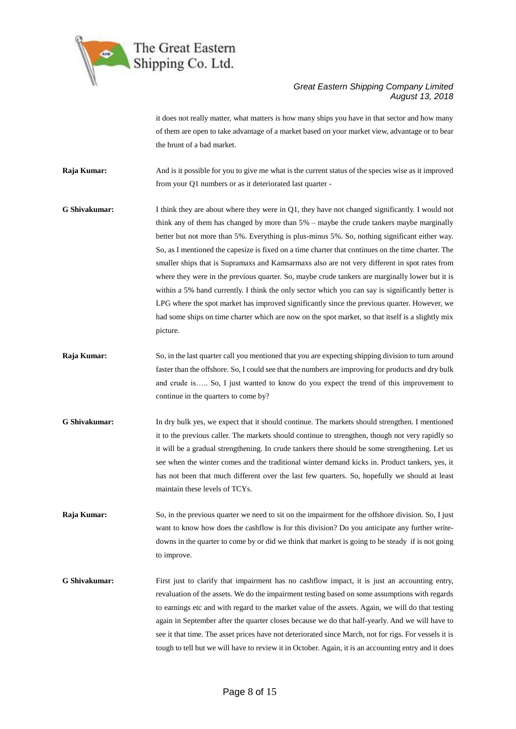

it does not really matter, what matters is how many ships you have in that sector and how many of them are open to take advantage of a market based on your market view, advantage or to bear the brunt of a bad market.

**Raja Kumar:** And is it possible for you to give me what is the current status of the species wise as it improved from your Q1 numbers or as it deteriorated last quarter -

**G Shivakumar:** I think they are about where they were in Q1, they have not changed significantly. I would not think any of them has changed by more than 5% – maybe the crude tankers maybe marginally better but not more than 5%. Everything is plus-minus 5%. So, nothing significant either way. So, as I mentioned the capesize is fixed on a time charter that continues on the time charter. The smaller ships that is Supramaxs and Kamsarmaxs also are not very different in spot rates from where they were in the previous quarter. So, maybe crude tankers are marginally lower but it is within a 5% band currently. I think the only sector which you can say is significantly better is LPG where the spot market has improved significantly since the previous quarter. However, we had some ships on time charter which are now on the spot market, so that itself is a slightly mix picture.

- **Raja Kumar:** So, in the last quarter call you mentioned that you are expecting shipping division to turn around faster than the offshore. So, I could see that the numbers are improving for products and dry bulk and crude is….. So, I just wanted to know do you expect the trend of this improvement to continue in the quarters to come by?
- **G Shivakumar:** In dry bulk yes, we expect that it should continue. The markets should strengthen. I mentioned it to the previous caller. The markets should continue to strengthen, though not very rapidly so it will be a gradual strengthening. In crude tankers there should be some strengthening. Let us see when the winter comes and the traditional winter demand kicks in. Product tankers, yes, it has not been that much different over the last few quarters. So, hopefully we should at least maintain these levels of TCYs.

**Raja Kumar:** So, in the previous quarter we need to sit on the impairment for the offshore division. So, I just want to know how does the cashflow is for this division? Do you anticipate any further writedowns in the quarter to come by or did we think that market is going to be steady if is not going to improve.

**G Shivakumar:** First just to clarify that impairment has no cashflow impact, it is just an accounting entry, revaluation of the assets. We do the impairment testing based on some assumptions with regards to earnings etc and with regard to the market value of the assets. Again, we will do that testing again in September after the quarter closes because we do that half-yearly. And we will have to see it that time. The asset prices have not deteriorated since March, not for rigs. For vessels it is tough to tell but we will have to review it in October. Again, it is an accounting entry and it does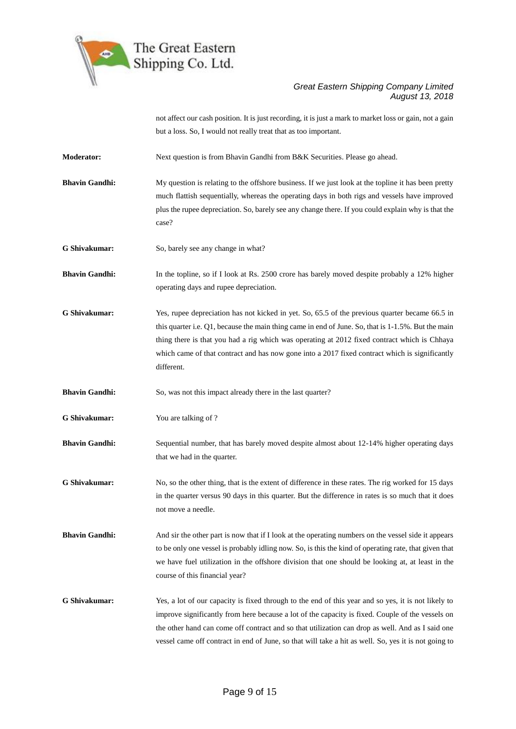

not affect our cash position. It is just recording, it is just a mark to market loss or gain, not a gain but a loss. So, I would not really treat that as too important.

**Moderator:** Next question is from Bhavin Gandhi from B&K Securities. Please go ahead.

**Bhavin Gandhi:** My question is relating to the offshore business. If we just look at the topline it has been pretty much flattish sequentially, whereas the operating days in both rigs and vessels have improved plus the rupee depreciation. So, barely see any change there. If you could explain why is that the case?

**G Shivakumar:** So, barely see any change in what?

**Bhavin Gandhi:** In the topline, so if I look at Rs. 2500 crore has barely moved despite probably a 12% higher operating days and rupee depreciation.

**G Shivakumar:** Yes, rupee depreciation has not kicked in yet. So, 65.5 of the previous quarter became 66.5 in this quarter i.e. Q1, because the main thing came in end of June. So, that is 1-1.5%. But the main thing there is that you had a rig which was operating at 2012 fixed contract which is Chhaya which came of that contract and has now gone into a 2017 fixed contract which is significantly different.

**Bhavin Gandhi:** So, was not this impact already there in the last quarter?

**G Shivakumar:** You are talking of ?

**Bhavin Gandhi:** Sequential number, that has barely moved despite almost about 12-14% higher operating days that we had in the quarter.

**G Shivakumar:** No, so the other thing, that is the extent of difference in these rates. The rig worked for 15 days in the quarter versus 90 days in this quarter. But the difference in rates is so much that it does not move a needle.

**Bhavin Gandhi:** And sir the other part is now that if I look at the operating numbers on the vessel side it appears to be only one vessel is probably idling now. So, is this the kind of operating rate, that given that we have fuel utilization in the offshore division that one should be looking at, at least in the course of this financial year?

**G Shivakumar:** Yes, a lot of our capacity is fixed through to the end of this year and so yes, it is not likely to improve significantly from here because a lot of the capacity is fixed. Couple of the vessels on the other hand can come off contract and so that utilization can drop as well. And as I said one vessel came off contract in end of June, so that will take a hit as well. So, yes it is not going to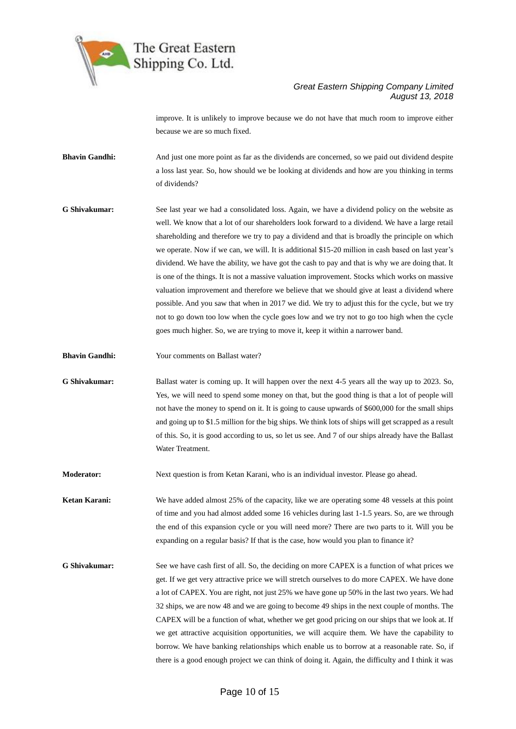

improve. It is unlikely to improve because we do not have that much room to improve either because we are so much fixed.

**Bhavin Gandhi:** And just one more point as far as the dividends are concerned, so we paid out dividend despite a loss last year. So, how should we be looking at dividends and how are you thinking in terms of dividends?

- **G Shivakumar:** See last year we had a consolidated loss. Again, we have a dividend policy on the website as well. We know that a lot of our shareholders look forward to a dividend. We have a large retail shareholding and therefore we try to pay a dividend and that is broadly the principle on which we operate. Now if we can, we will. It is additional \$15-20 million in cash based on last year's dividend. We have the ability, we have got the cash to pay and that is why we are doing that. It is one of the things. It is not a massive valuation improvement. Stocks which works on massive valuation improvement and therefore we believe that we should give at least a dividend where possible. And you saw that when in 2017 we did. We try to adjust this for the cycle, but we try not to go down too low when the cycle goes low and we try not to go too high when the cycle goes much higher. So, we are trying to move it, keep it within a narrower band.
- **Bhavin Gandhi:** Your comments on Ballast water?

**G Shivakumar:** Ballast water is coming up. It will happen over the next 4-5 years all the way up to 2023. So, Yes, we will need to spend some money on that, but the good thing is that a lot of people will not have the money to spend on it. It is going to cause upwards of \$600,000 for the small ships and going up to \$1.5 million for the big ships. We think lots of ships will get scrapped as a result of this. So, it is good according to us, so let us see. And 7 of our ships already have the Ballast Water Treatment.

**Moderator:** Next question is from Ketan Karani, who is an individual investor. Please go ahead.

**Ketan Karani:** We have added almost 25% of the capacity, like we are operating some 48 vessels at this point of time and you had almost added some 16 vehicles during last 1-1.5 years. So, are we through the end of this expansion cycle or you will need more? There are two parts to it. Will you be expanding on a regular basis? If that is the case, how would you plan to finance it?

**G Shivakumar:** See we have cash first of all. So, the deciding on more CAPEX is a function of what prices we get. If we get very attractive price we will stretch ourselves to do more CAPEX. We have done a lot of CAPEX. You are right, not just 25% we have gone up 50% in the last two years. We had 32 ships, we are now 48 and we are going to become 49 ships in the next couple of months. The CAPEX will be a function of what, whether we get good pricing on our ships that we look at. If we get attractive acquisition opportunities, we will acquire them. We have the capability to borrow. We have banking relationships which enable us to borrow at a reasonable rate. So, if there is a good enough project we can think of doing it. Again, the difficulty and I think it was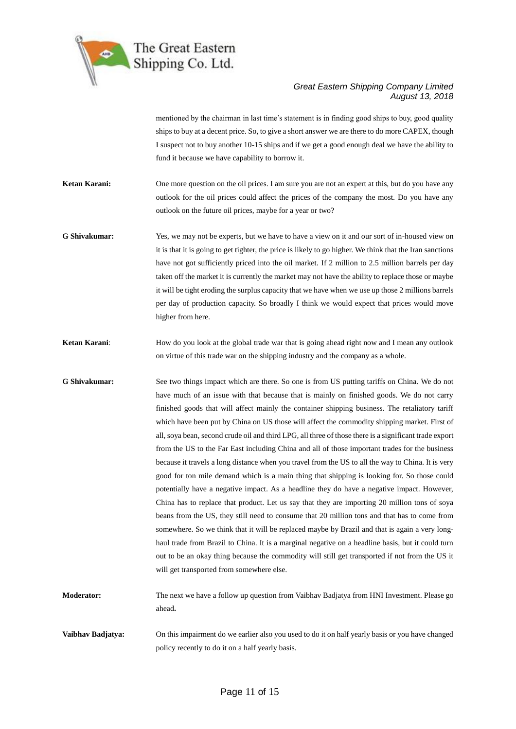

mentioned by the chairman in last time's statement is in finding good ships to buy, good quality ships to buy at a decent price. So, to give a short answer we are there to do more CAPEX, though I suspect not to buy another 10-15 ships and if we get a good enough deal we have the ability to fund it because we have capability to borrow it.

**Ketan Karani:** One more question on the oil prices. I am sure you are not an expert at this, but do you have any outlook for the oil prices could affect the prices of the company the most. Do you have any outlook on the future oil prices, maybe for a year or two?

**G Shivakumar:** Yes, we may not be experts, but we have to have a view on it and our sort of in-housed view on it is that it is going to get tighter, the price is likely to go higher. We think that the Iran sanctions have not got sufficiently priced into the oil market. If 2 million to 2.5 million barrels per day taken off the market it is currently the market may not have the ability to replace those or maybe it will be tight eroding the surplus capacity that we have when we use up those 2 millions barrels per day of production capacity. So broadly I think we would expect that prices would move higher from here.

**Ketan Karani:** How do you look at the global trade war that is going ahead right now and I mean any outlook on virtue of this trade war on the shipping industry and the company as a whole.

**G Shivakumar:** See two things impact which are there. So one is from US putting tariffs on China. We do not have much of an issue with that because that is mainly on finished goods. We do not carry finished goods that will affect mainly the container shipping business. The retaliatory tariff which have been put by China on US those will affect the commodity shipping market. First of all, soya bean, second crude oil and third LPG, all three of those there is a significant trade export from the US to the Far East including China and all of those important trades for the business because it travels a long distance when you travel from the US to all the way to China. It is very good for ton mile demand which is a main thing that shipping is looking for. So those could potentially have a negative impact. As a headline they do have a negative impact. However, China has to replace that product. Let us say that they are importing 20 million tons of soya beans from the US, they still need to consume that 20 million tons and that has to come from somewhere. So we think that it will be replaced maybe by Brazil and that is again a very longhaul trade from Brazil to China. It is a marginal negative on a headline basis, but it could turn out to be an okay thing because the commodity will still get transported if not from the US it will get transported from somewhere else.

**Moderator:** The next we have a follow up question from Vaibhav Badjatya from HNI Investment. Please go ahead**.**

**Vaibhav Badjatya:** On this impairment do we earlier also you used to do it on half yearly basis or you have changed policy recently to do it on a half yearly basis.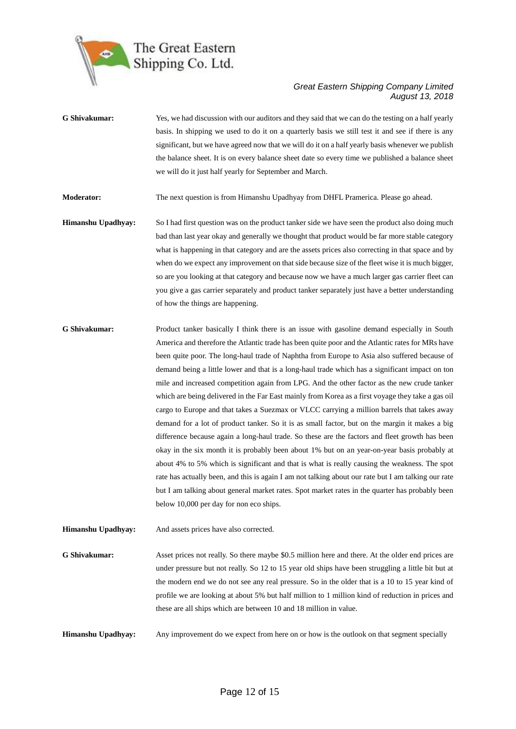

**G Shivakumar:** Yes, we had discussion with our auditors and they said that we can do the testing on a half yearly basis. In shipping we used to do it on a quarterly basis we still test it and see if there is any significant, but we have agreed now that we will do it on a half yearly basis whenever we publish the balance sheet. It is on every balance sheet date so every time we published a balance sheet we will do it just half yearly for September and March.

**Moderator:** The next question is from Himanshu Upadhyay from DHFL Pramerica. Please go ahead.

- **Himanshu Upadhyay:** So I had first question was on the product tanker side we have seen the product also doing much bad than last year okay and generally we thought that product would be far more stable category what is happening in that category and are the assets prices also correcting in that space and by when do we expect any improvement on that side because size of the fleet wise it is much bigger, so are you looking at that category and because now we have a much larger gas carrier fleet can you give a gas carrier separately and product tanker separately just have a better understanding of how the things are happening.
- **G Shivakumar:** Product tanker basically I think there is an issue with gasoline demand especially in South America and therefore the Atlantic trade has been quite poor and the Atlantic rates for MRs have been quite poor. The long-haul trade of Naphtha from Europe to Asia also suffered because of demand being a little lower and that is a long-haul trade which has a significant impact on ton mile and increased competition again from LPG. And the other factor as the new crude tanker which are being delivered in the Far East mainly from Korea as a first voyage they take a gas oil cargo to Europe and that takes a Suezmax or VLCC carrying a million barrels that takes away demand for a lot of product tanker. So it is as small factor, but on the margin it makes a big difference because again a long-haul trade. So these are the factors and fleet growth has been okay in the six month it is probably been about 1% but on an year-on-year basis probably at about 4% to 5% which is significant and that is what is really causing the weakness. The spot rate has actually been, and this is again I am not talking about our rate but I am talking our rate but I am talking about general market rates. Spot market rates in the quarter has probably been below 10,000 per day for non eco ships.
- **Himanshu Upadhyay:** And assets prices have also corrected.

**G Shivakumar:** Asset prices not really. So there maybe \$0.5 million here and there. At the older end prices are under pressure but not really. So 12 to 15 year old ships have been struggling a little bit but at the modern end we do not see any real pressure. So in the older that is a 10 to 15 year kind of profile we are looking at about 5% but half million to 1 million kind of reduction in prices and these are all ships which are between 10 and 18 million in value.

**Himanshu Upadhyay:** Any improvement do we expect from here on or how is the outlook on that segment specially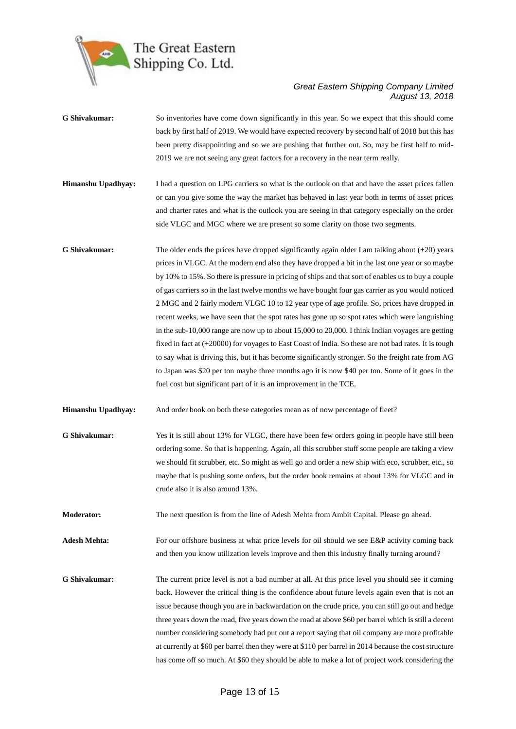

| G Shivakumar:       | So inventories have come down significantly in this year. So we expect that this should come<br>back by first half of 2019. We would have expected recovery by second half of 2018 but this has<br>been pretty disappointing and so we are pushing that further out. So, may be first half to mid-<br>2019 we are not seeing any great factors for a recovery in the near term really.                                                                                                                                                                                                                                                                                                                                                                                                                                                                                                                                                                                                                                                                                                                               |
|---------------------|----------------------------------------------------------------------------------------------------------------------------------------------------------------------------------------------------------------------------------------------------------------------------------------------------------------------------------------------------------------------------------------------------------------------------------------------------------------------------------------------------------------------------------------------------------------------------------------------------------------------------------------------------------------------------------------------------------------------------------------------------------------------------------------------------------------------------------------------------------------------------------------------------------------------------------------------------------------------------------------------------------------------------------------------------------------------------------------------------------------------|
| Himanshu Upadhyay:  | I had a question on LPG carriers so what is the outlook on that and have the asset prices fallen<br>or can you give some the way the market has behaved in last year both in terms of asset prices<br>and charter rates and what is the outlook you are seeing in that category especially on the order<br>side VLGC and MGC where we are present so some clarity on those two segments.                                                                                                                                                                                                                                                                                                                                                                                                                                                                                                                                                                                                                                                                                                                             |
| G Shivakumar:       | The older ends the prices have dropped significantly again older I am talking about $(+20)$ years<br>prices in VLGC. At the modern end also they have dropped a bit in the last one year or so maybe<br>by 10% to 15%. So there is pressure in pricing of ships and that sort of enables us to buy a couple<br>of gas carriers so in the last twelve months we have bought four gas carrier as you would noticed<br>2 MGC and 2 fairly modern VLGC 10 to 12 year type of age profile. So, prices have dropped in<br>recent weeks, we have seen that the spot rates has gone up so spot rates which were languishing<br>in the sub-10,000 range are now up to about $15,000$ to $20,000$ . I think Indian voyages are getting<br>fixed in fact at (+20000) for voyages to East Coast of India. So these are not bad rates. It is tough<br>to say what is driving this, but it has become significantly stronger. So the freight rate from AG<br>to Japan was \$20 per ton maybe three months ago it is now \$40 per ton. Some of it goes in the<br>fuel cost but significant part of it is an improvement in the TCE. |
| Himanshu Upadhyay:  | And order book on both these categories mean as of now percentage of fleet?                                                                                                                                                                                                                                                                                                                                                                                                                                                                                                                                                                                                                                                                                                                                                                                                                                                                                                                                                                                                                                          |
| G Shivakumar:       | Yes it is still about 13% for VLGC, there have been few orders going in people have still been<br>ordering some. So that is happening. Again, all this scrubber stuff some people are taking a view<br>we should fit scrubber, etc. So might as well go and order a new ship with eco, scrubber, etc., so<br>maybe that is pushing some orders, but the order book remains at about 13% for VLGC and in<br>crude also it is also around 13%.                                                                                                                                                                                                                                                                                                                                                                                                                                                                                                                                                                                                                                                                         |
| <b>Moderator:</b>   | The next question is from the line of Adesh Mehta from Ambit Capital. Please go ahead.                                                                                                                                                                                                                                                                                                                                                                                                                                                                                                                                                                                                                                                                                                                                                                                                                                                                                                                                                                                                                               |
| <b>Adesh Mehta:</b> | For our offshore business at what price levels for oil should we see E&P activity coming back<br>and then you know utilization levels improve and then this industry finally turning around?                                                                                                                                                                                                                                                                                                                                                                                                                                                                                                                                                                                                                                                                                                                                                                                                                                                                                                                         |
| G Shivakumar:       | The current price level is not a bad number at all. At this price level you should see it coming<br>back. However the critical thing is the confidence about future levels again even that is not an<br>issue because though you are in backwardation on the crude price, you can still go out and hedge<br>three years down the road, five years down the road at above \$60 per barrel which is still a decent<br>number considering somebody had put out a report saying that oil company are more profitable<br>at currently at \$60 per barrel then they were at \$110 per barrel in 2014 because the cost structure<br>has come off so much. At \$60 they should be able to make a lot of project work considering the                                                                                                                                                                                                                                                                                                                                                                                         |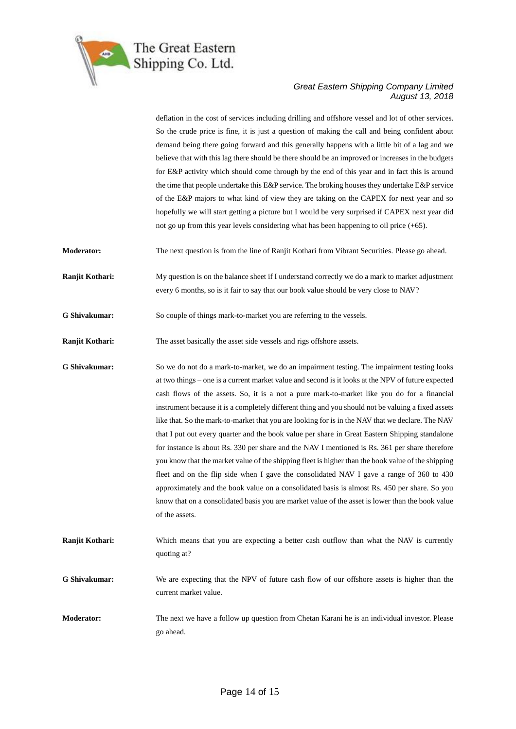

deflation in the cost of services including drilling and offshore vessel and lot of other services. So the crude price is fine, it is just a question of making the call and being confident about demand being there going forward and this generally happens with a little bit of a lag and we believe that with this lag there should be there should be an improved or increases in the budgets for E&P activity which should come through by the end of this year and in fact this is around the time that people undertake this E&P service. The broking houses they undertake E&P service of the E&P majors to what kind of view they are taking on the CAPEX for next year and so hopefully we will start getting a picture but I would be very surprised if CAPEX next year did not go up from this year levels considering what has been happening to oil price (+65).

**Moderator:** The next question is from the line of Ranjit Kothari from Vibrant Securities. Please go ahead.

**Ranjit Kothari:** My question is on the balance sheet if I understand correctly we do a mark to market adjustment every 6 months, so is it fair to say that our book value should be very close to NAV?

**G Shivakumar:** So couple of things mark-to-market you are referring to the vessels.

**Ranjit Kothari:** The asset basically the asset side vessels and rigs offshore assets.

**G Shivakumar:** So we do not do a mark-to-market, we do an impairment testing. The impairment testing looks at two things – one is a current market value and second is it looks at the NPV of future expected cash flows of the assets. So, it is a not a pure mark-to-market like you do for a financial instrument because it is a completely different thing and you should not be valuing a fixed assets like that. So the mark-to-market that you are looking for is in the NAV that we declare. The NAV that I put out every quarter and the book value per share in Great Eastern Shipping standalone for instance is about Rs. 330 per share and the NAV I mentioned is Rs. 361 per share therefore you know that the market value of the shipping fleet is higher than the book value of the shipping fleet and on the flip side when I gave the consolidated NAV I gave a range of 360 to 430 approximately and the book value on a consolidated basis is almost Rs. 450 per share. So you know that on a consolidated basis you are market value of the asset is lower than the book value of the assets.

**Ranjit Kothari:** Which means that you are expecting a better cash outflow than what the NAV is currently quoting at?

**G Shivakumar:** We are expecting that the NPV of future cash flow of our offshore assets is higher than the current market value.

**Moderator:** The next we have a follow up question from Chetan Karani he is an individual investor. Please go ahead.